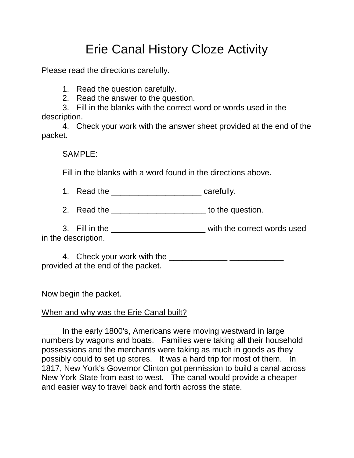# Erie Canal History Cloze Activity

Please read the directions carefully.

1. Read the question carefully.

2. Read the answer to the question.

3. Fill in the blanks with the correct word or words used in the description.

4. Check your work with the answer sheet provided at the end of the packet.

SAMPLE:

Fill in the blanks with a word found in the directions above.

1. Read the \_\_\_\_\_\_\_\_\_\_\_\_\_\_\_\_\_\_\_\_ carefully.

2. Read the **EXECUTE:** to the question.

3. Fill in the \_\_\_\_\_\_\_\_\_\_\_\_\_\_\_\_\_\_\_\_\_ with the correct words used in the description.

4. Check your work with the \_\_\_\_\_\_\_\_\_\_\_\_\_ \_\_\_\_\_\_\_\_\_\_\_\_ provided at the end of the packet.

Now begin the packet.

## When and why was the Erie Canal built?

In the early 1800's, Americans were moving westward in large numbers by wagons and boats. Families were taking all their household possessions and the merchants were taking as much in goods as they possibly could to set up stores. It was a hard trip for most of them. In 1817, New York's Governor Clinton got permission to build a canal across New York State from east to west. The canal would provide a cheaper and easier way to travel back and forth across the state.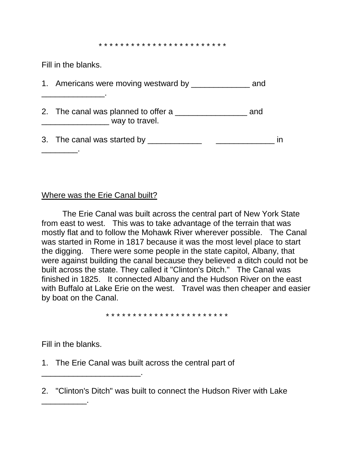\* \* \* \* \* \* \* \* \* \* \* \* \* \* \* \* \* \* \* \* \* \* \* \*

Fill in the blanks.

| 1. Americans were moving westward by __________       | and |  |
|-------------------------------------------------------|-----|--|
| 2. The canal was planned to offer a<br>way to travel. | and |  |
| 3. The canal was started by ______                    |     |  |

### Where was the Erie Canal built?

The Erie Canal was built across the central part of New York State from east to west. This was to take advantage of the terrain that was mostly flat and to follow the Mohawk River wherever possible. The Canal was started in Rome in 1817 because it was the most level place to start the digging. There were some people in the state capitol, Albany, that were against building the canal because they believed a ditch could not be built across the state. They called it "Clinton's Ditch." The Canal was finished in 1825. It connected Albany and the Hudson River on the east with Buffalo at Lake Erie on the west. Travel was then cheaper and easier by boat on the Canal.

\* \* \* \* \* \* \* \* \* \* \* \* \* \* \* \* \* \* \* \* \* \* \*

Fill in the blanks.

\_\_\_\_\_\_\_\_\_\_.

\_\_\_\_\_\_\_\_\_\_\_\_\_\_\_\_\_\_\_\_\_\_.

1. The Erie Canal was built across the central part of

2. "Clinton's Ditch" was built to connect the Hudson River with Lake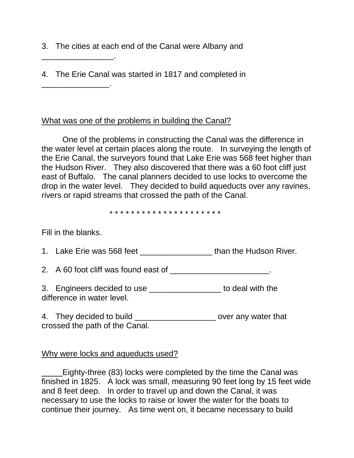3. The cities at each end of the Canal were Albany and

4. The Erie Canal was started in 1817 and completed in

## What was one of the problems in building the Canal?

One of the problems in constructing the Canal was the difference in the water level at certain places along the route. In surveying the length of the Erie Canal, the surveyors found that Lake Erie was 568 feet higher than the Hudson River. They also discovered that there was a 60 foot cliff just east of Buffalo. The canal planners decided to use locks to overcome the drop in the water level. They decided to build aqueducts over any ravines, rivers or rapid streams that crossed the path of the Canal.

\* \* \* \* \* \* \* \* \* \* \* \* \* \* \* \* \* \* \* \* \*

Fill in the blanks.

\_\_\_\_\_\_\_\_\_\_\_\_\_\_\_\_.

\_\_\_\_\_\_\_\_\_\_\_\_\_\_\_.

|  | 1. Lake Erie was 568 feet | than the Hudson River. |  |
|--|---------------------------|------------------------|--|
|--|---------------------------|------------------------|--|

2. A 60 foot cliff was found east of \_\_\_\_\_\_\_\_\_\_\_\_\_\_\_\_\_\_\_\_\_\_\_\_\_.

3. Engineers decided to use difference in water level.

4. They decided to build \_\_\_\_\_\_\_\_\_\_\_\_\_\_\_\_\_\_\_\_\_\_\_ over any water that crossed the path of the Canal.

## Why were locks and aqueducts used?

Eighty-three (83) locks were completed by the time the Canal was finished in 1825. A lock was small, measuring 90 feet long by 15 feet wide and 8 feet deep. In order to travel up and down the Canal, it was necessary to use the locks to raise or lower the water for the boats to continue their journey. As time went on, it became necessary to build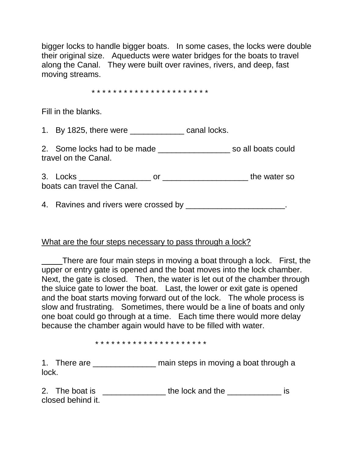bigger locks to handle bigger boats. In some cases, the locks were double their original size. Aqueducts were water bridges for the boats to travel along the Canal. They were built over ravines, rivers, and deep, fast moving streams.

#### \* \* \* \* \* \* \* \* \* \* \* \* \* \* \* \* \* \* \* \* \* \*

Fill in the blanks.

1. By 1825, there were canal locks.

2. Some locks had to be made \_\_\_\_\_\_\_\_\_\_\_\_\_\_\_\_\_\_\_\_\_\_ so all boats could travel on the Canal.

3. Locks \_\_\_\_\_\_\_\_\_\_\_\_\_\_\_\_ or \_\_\_\_\_\_\_\_\_\_\_\_\_\_\_\_\_\_\_ the water so boats can travel the Canal.

4. Ravines and rivers were crossed by **EXALUATE:** 

### What are the four steps necessary to pass through a lock?

There are four main steps in moving a boat through a lock. First, the upper or entry gate is opened and the boat moves into the lock chamber. Next, the gate is closed. Then, the water is let out of the chamber through the sluice gate to lower the boat. Last, the lower or exit gate is opened and the boat starts moving forward out of the lock. The whole process is slow and frustrating. Sometimes, there would be a line of boats and only one boat could go through at a time. Each time there would more delay because the chamber again would have to be filled with water.

\* \* \* \* \* \* \* \* \* \* \* \* \* \* \* \* \* \* \* \* \*

1. There are \_\_\_\_\_\_\_\_\_\_\_\_\_\_\_\_ main steps in moving a boat through a lock.

2. The boat is \_\_\_\_\_\_\_\_\_\_\_\_\_\_\_\_\_ the lock and the \_\_\_\_\_\_\_\_\_\_\_\_\_\_ is closed behind it.